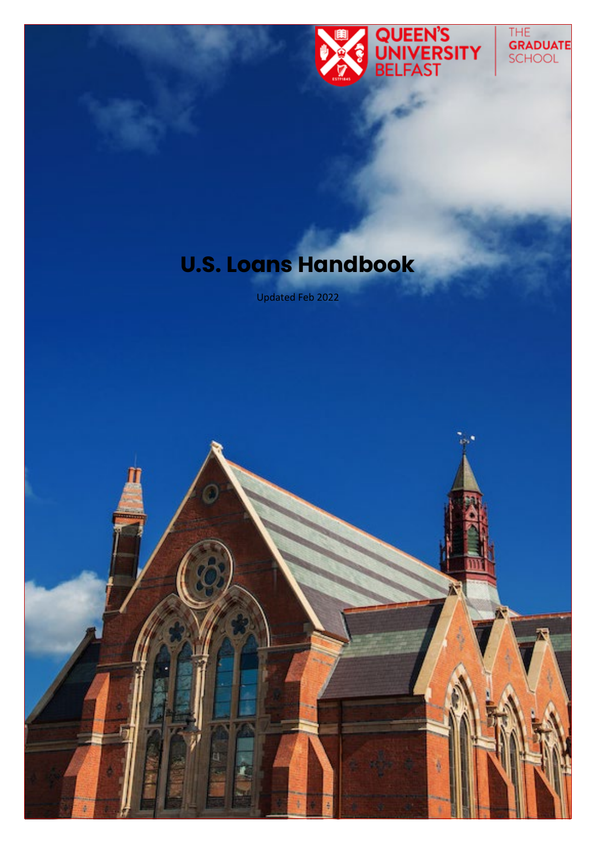

# The<br>**Graduate**<br>School

## **U.S. Loans Handbook**

Updated Feb 2022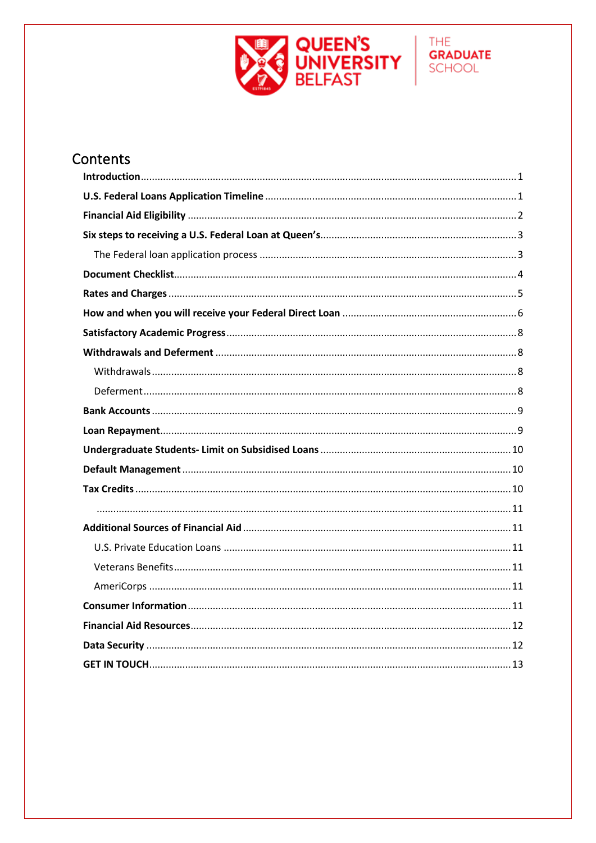

**GRADUATE** SCHOOL

### Contents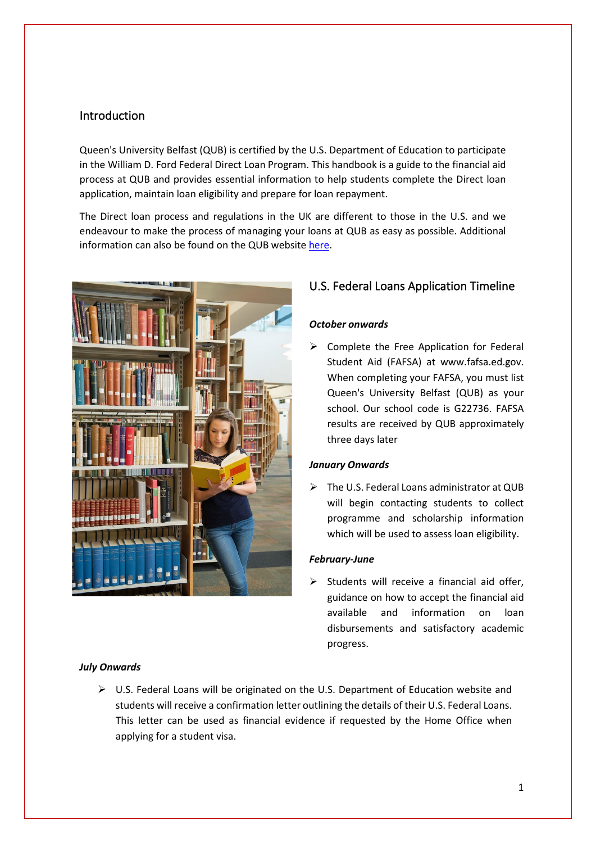#### Introduction

Queen's University Belfast (QUB) is certified by the U.S. Department of Education to participate in the William D. Ford Federal Direct Loan Program. This handbook is a guide to the financial aid process at QUB and provides essential information to help students complete the Direct loan application, maintain loan eligibility and prepare for loan repayment.

The Direct loan process and regulations in the UK are different to those in the U.S. and we endeavour to make the process of managing your loans at QUB as easy as possible. Additional information can also be found on the QUB websit[e here.](https://www.qub.ac.uk/graduate-school/funding/USLoans/)



#### U.S. Federal Loans Application Timeline

#### *October onwards*

 $\triangleright$  Complete the Free Application for Federal Student Aid (FAFSA) at www.fafsa.ed.gov. When completing your FAFSA, you must list Queen's University Belfast (QUB) as your school. Our school code is G22736. FAFSA results are received by QUB approximately three days later

#### *January Onwards*

> The U.S. Federal Loans administrator at QUB will begin contacting students to collect programme and scholarship information which will be used to assess loan eligibility.

#### *February-June*

 $\triangleright$  Students will receive a financial aid offer, guidance on how to accept the financial aid available and information on loan disbursements and satisfactory academic progress.

#### *July Onwards*

 $\triangleright$  U.S. Federal Loans will be originated on the U.S. Department of Education website and students will receive a confirmation letter outlining the details of their U.S. Federal Loans. This letter can be used as financial evidence if requested by the Home Office when applying for a student visa.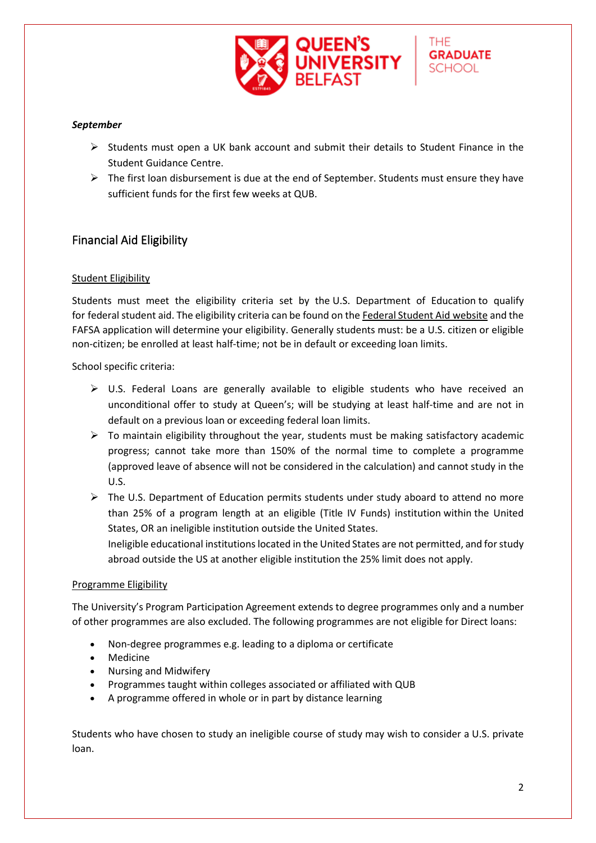

#### *September*

- $\triangleright$  Students must open a UK bank account and submit their details to Student Finance in the Student Guidance Centre.
- $\triangleright$  The first loan disbursement is due at the end of September. Students must ensure they have sufficient funds for the first few weeks at QUB.

#### <span id="page-3-0"></span>Financial Aid Eligibility

#### Student Eligibility

Students must meet the eligibility criteria set by the U.S. Department of Education to qualify for federal student aid. The eligibility criteria can be found on the [Federal Student Aid](https://studentaid.ed.gov/eligibility) website and the FAFSA application will determine your eligibility. Generally students must: be a U.S. citizen or eligible non-citizen; be enrolled at least half-time; not be in default or exceeding loan limits.

School specific criteria:

- $\triangleright$  U.S. Federal Loans are generally available to eligible students who have received an unconditional offer to study at Queen's; will be studying at least half-time and are not in default on a previous loan or exceeding federal loan limits.
- $\triangleright$  To maintain eligibility throughout the year, students must be making satisfactory academic progress; cannot take more than 150% of the normal time to complete a programme (approved leave of absence will not be considered in the calculation) and cannot study in the U.S.
- $\triangleright$  The U.S. Department of Education permits students under study aboard to attend no more than 25% of a program length at an eligible (Title IV Funds) institution within the United States, OR an ineligible institution outside the United States.

Ineligible educational institutions located in the United States are not permitted, and for study abroad outside the US at another eligible institution the 25% limit does not apply.

#### Programme Eligibility

The University's Program Participation Agreement extends to degree programmes only and a number of other programmes are also excluded. The following programmes are not eligible for Direct loans:

- Non-degree programmes e.g. leading to a diploma or certificate
- Medicine
- Nursing and Midwifery
- Programmes taught within colleges associated or affiliated with QUB
- A programme offered in whole or in part by distance learning

Students who have chosen to study an ineligible course of study may wish to consider a U.S. private loan.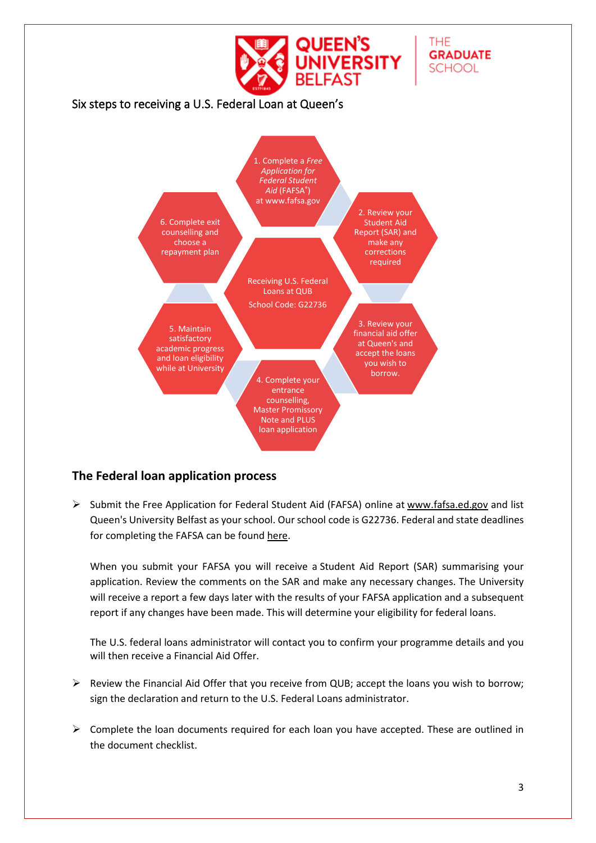<span id="page-4-0"></span>

#### <span id="page-4-1"></span>**The Federal loan application process**

 $\triangleright$  Submit the Free Application for Federal Student Aid (FAFSA) online at [www.fafsa.ed.gov](http://www.fafsa.ed.gov/) and list Queen's University Belfast as your school. Our school code is G22736. Federal and state deadlines for completing the FAFSA can be found [here.](https://studentaid.gov/apply-for-aid/fafsa/fafsa-deadlines)

When you submit your FAFSA you will receive a Student Aid Report (SAR) summarising your application. Review the comments on the SAR and make any necessary changes. The University will receive a report a few days later with the results of your FAFSA application and a subsequent report if any changes have been made. This will determine your eligibility for federal loans.

The U.S. federal loans administrator will contact you to confirm your programme details and you will then receive a Financial Aid Offer.

- Review the Financial Aid Offer that you receive from QUB; accept the loans you wish to borrow; sign the declaration and return to the U.S. Federal Loans administrator.
- $\triangleright$  Complete the loan documents required for each loan you have accepted. These are outlined in the document checklist.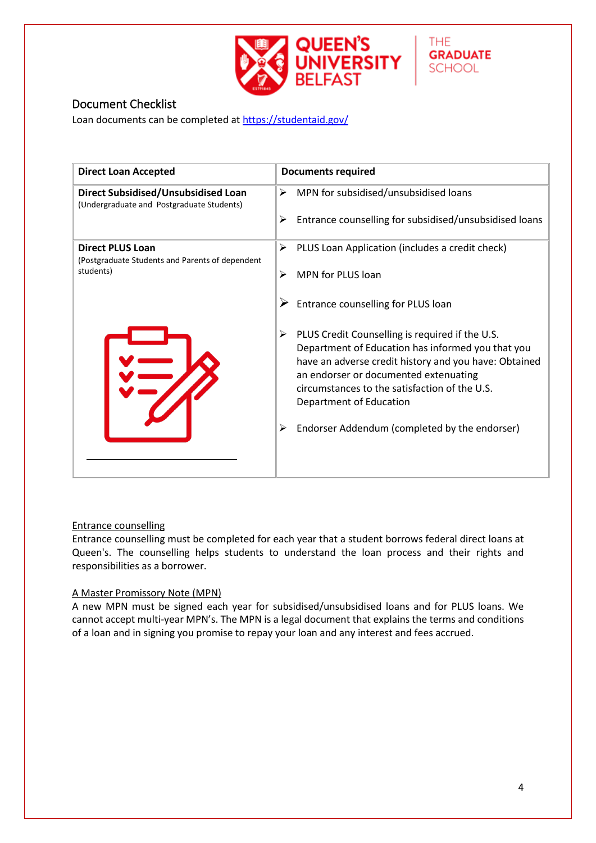

**GRADUATE SCHOOL** 

<span id="page-5-0"></span>Loan documents can be completed at<https://studentaid.gov/>

| <b>Direct Loan Accepted</b>                                                      | <b>Documents required</b>                                                                                                                                                                                                                                                                                                                |
|----------------------------------------------------------------------------------|------------------------------------------------------------------------------------------------------------------------------------------------------------------------------------------------------------------------------------------------------------------------------------------------------------------------------------------|
| Direct Subsidised/Unsubsidised Loan<br>(Undergraduate and Postgraduate Students) | MPN for subsidised/unsubsidised loans<br>⋗                                                                                                                                                                                                                                                                                               |
|                                                                                  | Entrance counselling for subsidised/unsubsidised loans<br>⋗                                                                                                                                                                                                                                                                              |
| <b>Direct PLUS Loan</b><br>(Postgraduate Students and Parents of dependent)      | PLUS Loan Application (includes a credit check)<br>➤                                                                                                                                                                                                                                                                                     |
| students)                                                                        | <b>MPN for PLUS loan</b><br>⋗                                                                                                                                                                                                                                                                                                            |
|                                                                                  | Entrance counselling for PLUS loan                                                                                                                                                                                                                                                                                                       |
|                                                                                  | PLUS Credit Counselling is required if the U.S.<br>➤<br>Department of Education has informed you that you<br>have an adverse credit history and you have: Obtained<br>an endorser or documented extenuating<br>circumstances to the satisfaction of the U.S.<br>Department of Education<br>Endorser Addendum (completed by the endorser) |
|                                                                                  |                                                                                                                                                                                                                                                                                                                                          |

#### Entrance counselling

Entrance counselling must be completed for each year that a student borrows federal direct loans at Queen's. The counselling helps students to understand the loan process and their rights and responsibilities as a borrower.

#### A Master Promissory Note (MPN)

A new MPN must be signed each year for subsidised/unsubsidised loans and for PLUS loans. We cannot accept multi-year MPN's. The MPN is a legal document that explains the terms and conditions of a loan and in signing you promise to repay your loan and any interest and fees accrued.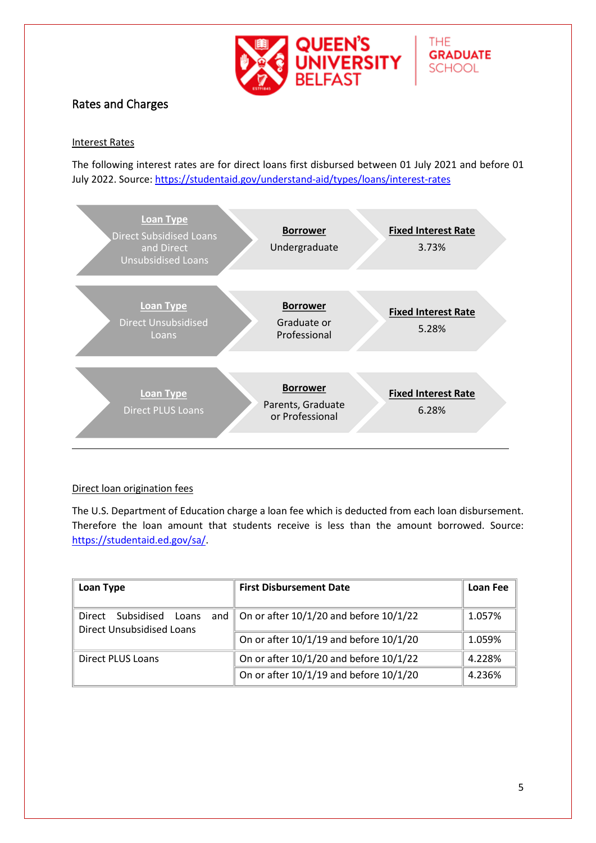

**GRADUATE** 

**SCHOOL** 

#### <span id="page-6-0"></span>Rates and Charges

#### Interest Rates

The following interest rates are for direct loans first disbursed between 01 July 2021 and before 01 July 2022. Source:<https://studentaid.gov/understand-aid/types/loans/interest-rates>



#### Direct loan origination fees

The U.S. Department of Education charge a loan fee which is deducted from each loan disbursement. Therefore the loan amount that students receive is less than the amount borrowed. Source: [https://studentaid.ed.gov/sa/.](https://studentaid.ed.gov/sa/)

| Loan Type                                                         | <b>First Disbursement Date</b>                         | Loan Fee |
|-------------------------------------------------------------------|--------------------------------------------------------|----------|
| Subsidised<br>Loans<br>Direct<br><b>Direct Unsubsidised Loans</b> | and $\parallel$ On or after 10/1/20 and before 10/1/22 | 1.057%   |
|                                                                   | On or after 10/1/19 and before 10/1/20                 | 1.059%   |
| Direct PLUS Loans                                                 | On or after 10/1/20 and before 10/1/22                 | 4.228%   |
|                                                                   | On or after 10/1/19 and before 10/1/20                 | 4.236%   |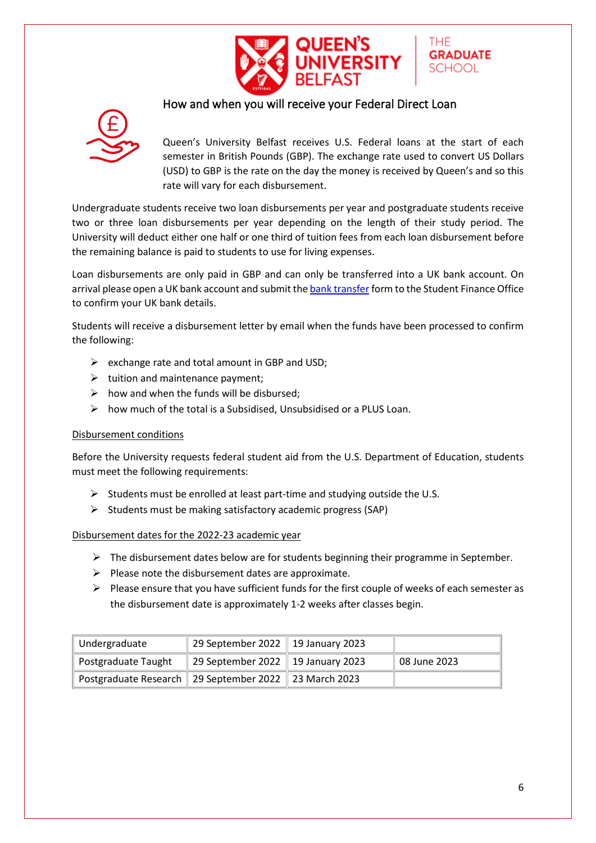

#### <span id="page-7-0"></span>How and when you will receive your Federal Direct Loan



Queen's University Belfast receives U.S. Federal loans at the start of each semester in British Pounds (GBP). The exchange rate used to convert US Dollars (USD) to GBP is the rate on the day the money is received by Queen's and so this rate will vary for each disbursement.

THF

**GRADUATE** SCHOOL

Undergraduate students receive two loan disbursements per year and postgraduate students receive two or three loan disbursements per year depending on the length of their study period. The University will deduct either one half or one third of tuition fees from each loan disbursement before the remaining balance is paid to students to use for living expenses.

Loan disbursements are only paid in GBP and can only be transferred into a UK bank account. On arrival please open a UK bank account and submit th[e bank transfer](http://www.qub.ac.uk/graduate-school/funding/USLoans/ConsumerInformation/) form to the Student Finance Office to confirm your UK bank details.

Students will receive a disbursement letter by email when the funds have been processed to confirm the following:

- $\triangleright$  exchange rate and total amount in GBP and USD;
- $\triangleright$  tuition and maintenance payment;
- $\triangleright$  how and when the funds will be disbursed;
- $\triangleright$  how much of the total is a Subsidised, Unsubsidised or a PLUS Loan.

#### Disbursement conditions

Before the University requests federal student aid from the U.S. Department of Education, students must meet the following requirements:

- $\triangleright$  Students must be enrolled at least part-time and studying outside the U.S.
- $\triangleright$  Students must be making satisfactory academic progress (SAP)

#### Disbursement dates for the 2022-23 academic year

- $\triangleright$  The disbursement dates below are for students beginning their programme in September.
- $\triangleright$  Please note the disbursement dates are approximate.
- $\triangleright$  Please ensure that you have sufficient funds for the first couple of weeks of each semester as the disbursement date is approximately 1-2 weeks after classes begin.

| Undergraduate                                               | 29 September 2022   19 January 2023 |              |
|-------------------------------------------------------------|-------------------------------------|--------------|
| Postgraduate Taught                                         | 29 September 2022   19 January 2023 | 08 June 2023 |
| Postgraduate Research    29 September 2022    23 March 2023 |                                     |              |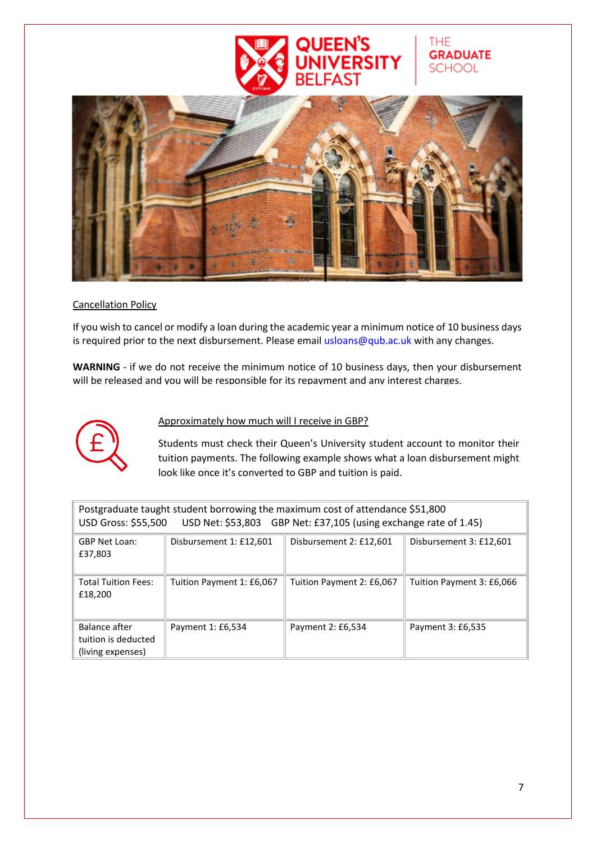

**GRADUATE** 

**SCHOOL** 

#### Cancellation Policy

If you wish to cancel or modify a loan during the academic year a minimum notice of 10 business days is required prior to the next disbursement. Please email usloans@qub.ac.uk with any changes.

**WARNING** - if we do not receive the minimum notice of 10 business days, then your disbursement will be released and you will be responsible for its repayment and any interest charges.



#### Approximately how much will I receive in GBP?

Students must check their Queen's University student account to monitor their tuition payments. The following example shows what a loan disbursement might look like once it's converted to GBP and tuition is paid.

| Postgraduate taught student borrowing the maximum cost of attendance \$51,800<br>USD Net: \$53,803 GBP Net: £37,105 (using exchange rate of 1.45)<br><b>USD Gross: \$55,500</b> |                           |                           |                           |
|---------------------------------------------------------------------------------------------------------------------------------------------------------------------------------|---------------------------|---------------------------|---------------------------|
| <b>GBP Net Loan:</b><br>£37,803                                                                                                                                                 | Disbursement 1: £12,601   | Disbursement 2: £12,601   | Disbursement 3: £12,601   |
| <b>Total Tuition Fees:</b><br>£18,200                                                                                                                                           | Tuition Payment 1: £6,067 | Tuition Payment 2: £6,067 | Tuition Payment 3: £6,066 |
| Balance after<br>tuition is deducted<br>(living expenses)                                                                                                                       | Payment 1: £6,534         | Payment 2: £6,534         | Payment 3: £6,535         |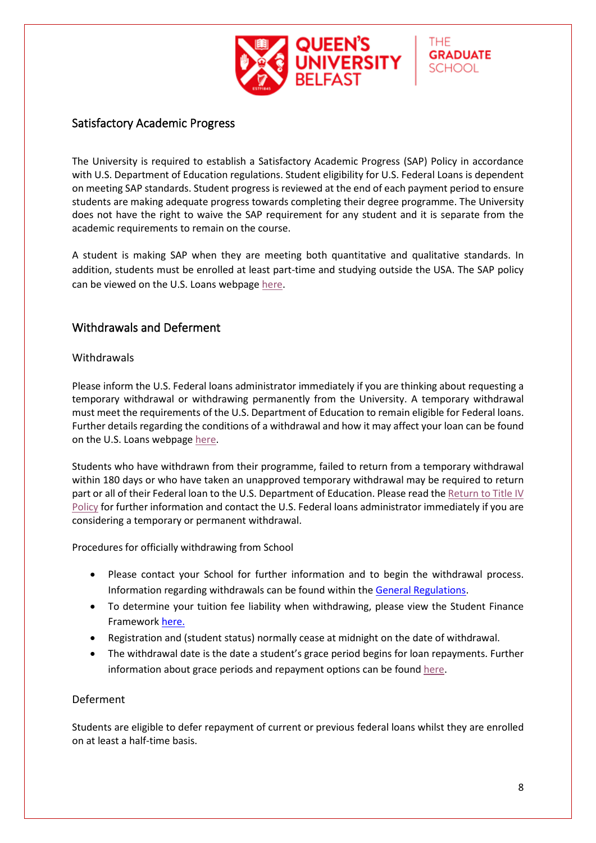

#### <span id="page-9-0"></span>Satisfactory Academic Progress

The University is required to establish a Satisfactory Academic Progress (SAP) Policy in accordance with U.S. Department of Education regulations. Student eligibility for U.S. Federal Loans is dependent on meeting SAP standards. Student progress is reviewed at the end of each payment period to ensure students are making adequate progress towards completing their degree programme. The University does not have the right to waive the SAP requirement for any student and it is separate from the academic requirements to remain on the course.

A student is making SAP when they are meeting both quantitative and qualitative standards. In addition, students must be enrolled at least part-time and studying outside the USA. The SAP policy can be viewed on the U.S. Loans webpag[e here.](http://www.qub.ac.uk/graduate-school/funding/USLoans/Eligibility/)

#### <span id="page-9-2"></span><span id="page-9-1"></span>Withdrawals and Deferment

#### **Withdrawals**

Please inform the U.S. Federal loans administrator immediately if you are thinking about requesting a temporary withdrawal or withdrawing permanently from the University. A temporary withdrawal must meet the requirements of the U.S. Department of Education to remain eligible for Federal loans. Further details regarding the conditions of a withdrawal and how it may affect your loan can be found on the U.S. Loans webpage [here.](http://www.qub.ac.uk/graduate-school/funding/USLoans/WithdrawalsandDeferment/)

Students who have withdrawn from their programme, failed to return from a temporary withdrawal within 180 days or who have taken an unapproved temporary withdrawal may be required to return part or all of their Federal loan to the U.S. Department of Education. Please read the [Return to Title IV](http://www.qub.ac.uk/graduate-school/funding/USLoans/ReturntoTitleIVPolicy/)  [Policy](http://www.qub.ac.uk/graduate-school/funding/USLoans/ReturntoTitleIVPolicy/) for further information and contact the U.S. Federal loans administrator immediately if you are considering a temporary or permanent withdrawal.

Procedures for officially withdrawing from School

- Please contact your School for further information and to begin the withdrawal process. Information regarding withdrawals can be found within the [General Regulations.](http://www.qub.ac.uk/directorates/AcademicStudentAffairs/AcademicAffairs/GeneralRegulations/)
- To determine your tuition fee liability when withdrawing, please view the Student Finance Framework [here.](https://www.qub.ac.uk/Study/Feesandfinance/FileStore/Filetoupload,1250400,en.pdf)
- Registration and (student status) normally cease at midnight on the date of withdrawal.
- The withdrawal date is the date a student's grace period begins for loan repayments. Further information about grace periods and repayment options can be found [here.](https://studentaid.gov/manage-loans/repayment)

#### <span id="page-9-3"></span>Deferment

Students are eligible to defer repayment of current or previous federal loans whilst they are enrolled on at least a half-time basis.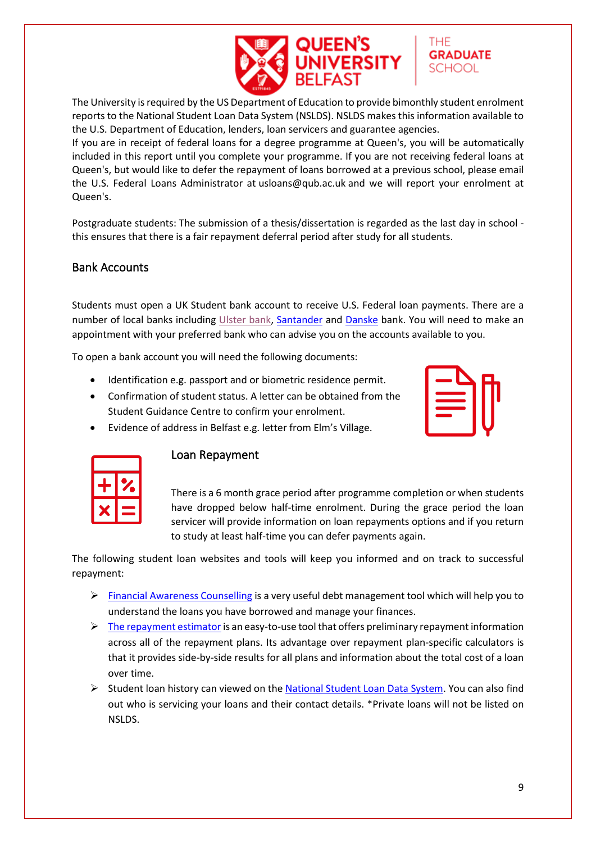

The University is required by the US Department of Education to provide bimonthly student enrolment reports to the National Student Loan Data System (NSLDS). NSLDS makes this information available to the U.S. Department of Education, lenders, loan servicers and guarantee agencies.

If you are in receipt of federal loans for a degree programme at Queen's, you will be automatically included in this report until you complete your programme. If you are not receiving federal loans at Queen's, but would like to defer the repayment of loans borrowed at a previous school, please email the U.S. Federal Loans Administrator at [usloans@qub.ac.uk](mailto:usloans@qub.ac.uk) and we will report your enrolment at Queen's.

Postgraduate students: The submission of a thesis/dissertation is regarded as the last day in school this ensures that there is a fair repayment deferral period after study for all students.

#### <span id="page-10-0"></span>Bank Accounts

Students must open a UK Student bank account to receive U.S. Federal loan payments. There are a number of local banks including [Ulster bank,](https://digital.ulsterbank.co.uk/) [Santander](https://www.santander.co.uk/) and [Danske](https://danskebank.co.uk/personal) bank. You will need to make an appointment with your preferred bank who can advise you on the accounts available to you.

To open a bank account you will need the following documents:

Identification e.g. passport and or biometric residence permit.

• Evidence of address in Belfast e.g. letter from Elm's Village.

- Confirmation of student status. A letter can be obtained from the Student Guidance Centre to confirm your enrolment.
- 

THE

**GRADUATE** SCHOOL



#### <span id="page-10-1"></span>Loan Repayment

There is a 6 month grace period after programme completion or when students have dropped below half-time enrolment. During the grace period the loan servicer will provide information on loan repayments options and if you return to study at least half-time you can defer payments again.

The following student loan websites and tools will keep you informed and on track to successful repayment:

- [Financial Awareness Counselling](https://studentloans.gov/myDirectLoan/counselingInstructions.action?counselingType=fa) is a very useful debt management tool which will help you to understand the loans you have borrowed and manage your finances.
- $\triangleright$  The repayment estimator is an easy-to-use tool that offers preliminary repayment information across all of the repayment plans. Its advantage over repayment plan-specific calculators is that it provides side-by-side results for all plans and information about the total cost of a loan over time.
- $\triangleright$  Student loan history can viewed on the [National Student Loan Data System.](https://nslds.ed.gov/nslds/nslds_SA/) You can also find out who is servicing your loans and their contact details. \*Private loans will not be listed on NSLDS.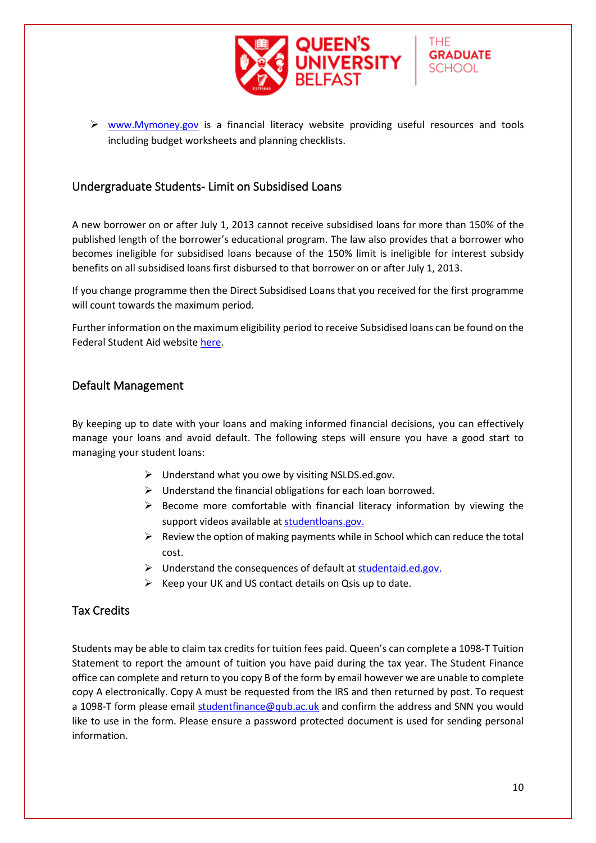

**GRADUATE SCHOOL** 

#### <span id="page-11-0"></span>Undergraduate Students- Limit on Subsidised Loans

A new borrower on or after July 1, 2013 cannot receive subsidised loans for more than 150% of the published length of the borrower's educational program. The law also provides that a borrower who becomes ineligible for subsidised loans because of the 150% limit is ineligible for interest subsidy benefits on all subsidised loans first disbursed to that borrower on or after July 1, 2013.

If you change programme then the Direct Subsidised Loans that you received for the first programme will count towards the maximum period.

Further information on the maximum eligibility period to receive Subsidised loans can be found on the Federal Student Aid website [here.](https://studentaid.gov/app/directSubsidizedLoanTimeLimitation.action)

#### <span id="page-11-1"></span>Default Management

By keeping up to date with your loans and making informed financial decisions, you can effectively manage your loans and avoid default. The following steps will ensure you have a good start to managing your student loans:

- $\triangleright$  Understand what you owe by visiting NSLDS.ed.gov.
- $\triangleright$  Understand the financial obligations for each loan borrowed.
- $\triangleright$  Become more comfortable with financial literacy information by viewing the support videos available at [studentloans.gov.](https://studentloans.gov/myDirectLoan/index.action)
- $\triangleright$  Review the option of making payments while in School which can reduce the total cost.
- $\triangleright$  Understand the consequences of default at [studentaid.ed.gov.](https://studentaid.ed.gov/sa/repay-loans/default)
- $\triangleright$  Keep your UK and US contact details on Qsis up to date.

#### <span id="page-11-2"></span>Tax Credits

Students may be able to claim tax credits for tuition fees paid. Queen's can complete a 1098-T Tuition Statement to report the amount of tuition you have paid during the tax year. The Student Finance office can complete and return to you copy B of the form by email however we are unable to complete copy A electronically. Copy A must be requested from the IRS and then returned by post. To request a 1098-T form please email [studentfinance@qub.ac.uk](mailto:studentfinance@qub.ac.uk) and confirm the address and SNN you would like to use in the form. Please ensure a password protected document is used for sending personal information.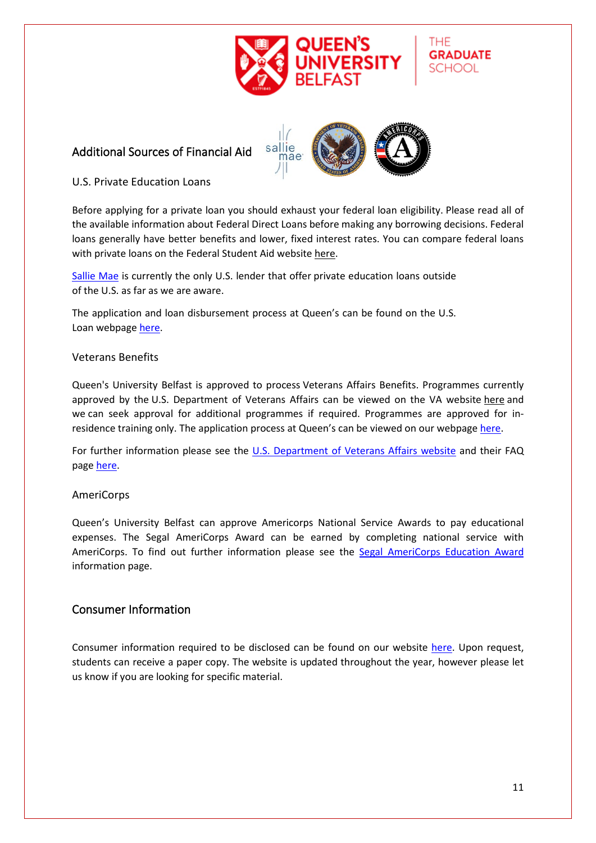

#### <span id="page-12-1"></span><span id="page-12-0"></span>Additional Sources of Financial Aid



THF

**GRADUATE SCHOOL** 

#### <span id="page-12-2"></span>U.S. Private Education Loans

Before applying for a private loan you should exhaust your federal loan eligibility. Please read all of the available information about Federal Direct Loans before making any borrowing decisions. Federal loans generally have better benefits and lower, fixed interest rates. You can compare federal loans with private loans on the Federal Student Aid website [here.](https://studentaid.ed.gov/sa/types/loans/federal-vs-private)

[Sallie Mae](https://www.salliemae.com/student-loans/) is currently the only U.S. lender that offer private education loans outside of the U.S. as far as we are aware.

The application and loan disbursement process at Queen's can be found on the U.S. Loan webpage [here.](http://www.qub.ac.uk/graduate-school/funding/USLoans/PrivateLoans/)

#### <span id="page-12-3"></span>Veterans Benefits

Queen's University Belfast is approved to process Veterans Affairs Benefits. Programmes currently approved by the U.S. Department of Veterans Affairs can be viewed on the VA website [here](https://inquiry.vba.va.gov/weamspub/buildSearchCountryCriteria.do) and we can seek approval for additional programmes if required. Programmes are approved for inresidence training only. The application process at Queen's can be viewed on our webpag[e here.](http://www.qub.ac.uk/graduate-school/funding/USLoans/VeteransBenefits/)

For further information please see the [U.S. Department of Veterans Affairs website](https://benefits.va.gov/gibill/foreign_school_information_for_students.asp?_ga=2.97741208.680120281.1553172654-203087076.1546946931) and their FAQ page [here.](https://gibill.custhelp.va.gov/app/answers/list)

#### <span id="page-12-4"></span>AmeriCorps

Queen's University Belfast can approve Americorps National Service Awards to pay educational expenses. The Segal AmeriCorps Award can be earned by completing national service with AmeriCorps. To find out further information please see the [Segal AmeriCorps Education Award](https://www.nationalservice.gov/programs/americorps/segal-americorps-education-award) information page.

#### <span id="page-12-5"></span>Consumer Information

Consumer information required to be disclosed can be found on our website [here.](https://www.qub.ac.uk/graduate-school/funding/USLoans/ConsumerInformation/) Upon request, students can receive a paper copy. The website is updated throughout the year, however please let us know if you are looking for specific material.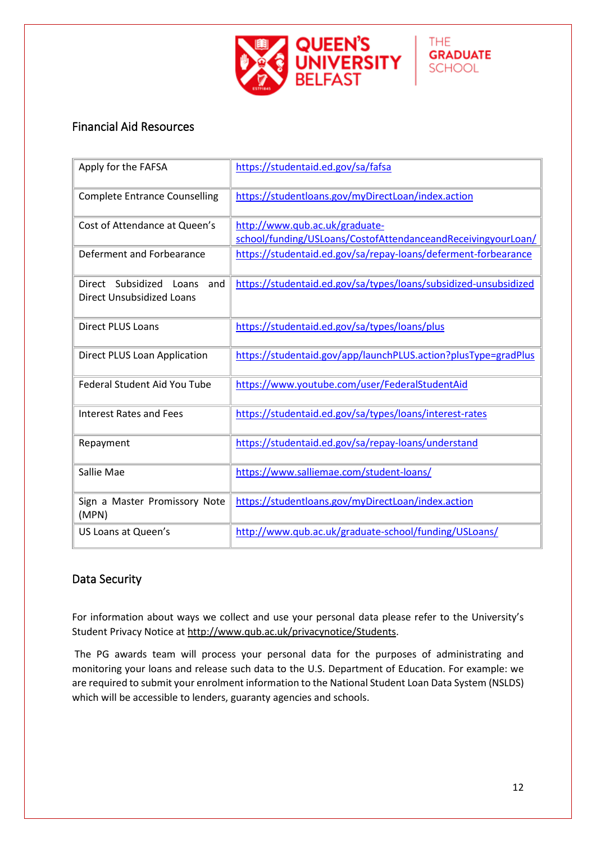

#### <span id="page-13-0"></span>Financial Aid Resources

| Apply for the FAFSA                                                | https://studentaid.ed.gov/sa/fafsa                                                             |
|--------------------------------------------------------------------|------------------------------------------------------------------------------------------------|
| <b>Complete Entrance Counselling</b>                               | https://studentloans.gov/myDirectLoan/index.action                                             |
| Cost of Attendance at Queen's                                      | http://www.qub.ac.uk/graduate-<br>school/funding/USLoans/CostofAttendanceandReceivingyourLoan/ |
| Deferment and Forbearance                                          | https://studentaid.ed.gov/sa/repay-loans/deferment-forbearance                                 |
| Direct Subsidized Loans<br>and<br><b>Direct Unsubsidized Loans</b> | https://studentaid.ed.gov/sa/types/loans/subsidized-unsubsidized                               |
| <b>Direct PLUS Loans</b>                                           | https://studentaid.ed.gov/sa/types/loans/plus                                                  |
| Direct PLUS Loan Application                                       | https://studentaid.gov/app/launchPLUS.action?plusType=gradPlus                                 |
| <b>Federal Student Aid You Tube</b>                                | https://www.youtube.com/user/FederalStudentAid                                                 |
| Interest Rates and Fees                                            | https://studentaid.ed.gov/sa/types/loans/interest-rates                                        |
| Repayment                                                          | https://studentaid.ed.gov/sa/repay-loans/understand                                            |
| Sallie Mae                                                         | https://www.salliemae.com/student-loans/                                                       |
| Sign a Master Promissory Note<br>(MPN)                             | https://studentloans.gov/myDirectLoan/index.action                                             |
| US Loans at Queen's                                                | http://www.qub.ac.uk/graduate-school/funding/USLoans/                                          |

#### <span id="page-13-1"></span>Data Security

For information about ways we collect and use your personal data please refer to the University's Student Privacy Notice at [http://www.qub.ac.uk/privacynotice/Students.](http://www.qub.ac.uk/privacynotice/Students)

The PG awards team will process your personal data for the purposes of administrating and monitoring your loans and release such data to the U.S. Department of Education. For example: we are required to submit your enrolment information to the National Student Loan Data System (NSLDS) which will be accessible to lenders, guaranty agencies and schools.